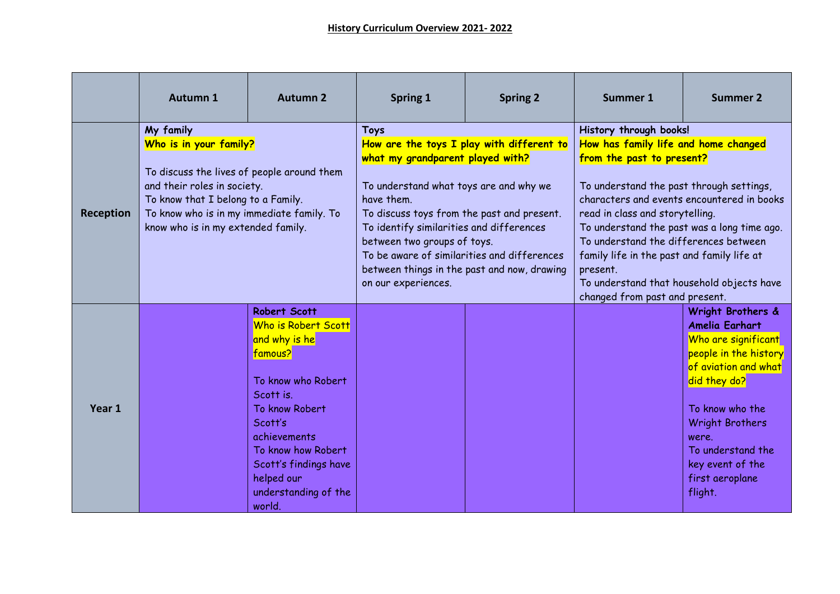|           | Autumn 1                                                                                                                                                                                                                                  | <b>Autumn 2</b>                                                                                                                                                                                                                                | <b>Spring 1</b>                                                                                                                                                                                                                                                                                                                                                                                    | <b>Spring 2</b> | <b>Summer 1</b>                                                                                                                                                                                                                                                                                                                                                                                                                                           | <b>Summer 2</b>                                                                                                                                                                                                                                                 |
|-----------|-------------------------------------------------------------------------------------------------------------------------------------------------------------------------------------------------------------------------------------------|------------------------------------------------------------------------------------------------------------------------------------------------------------------------------------------------------------------------------------------------|----------------------------------------------------------------------------------------------------------------------------------------------------------------------------------------------------------------------------------------------------------------------------------------------------------------------------------------------------------------------------------------------------|-----------------|-----------------------------------------------------------------------------------------------------------------------------------------------------------------------------------------------------------------------------------------------------------------------------------------------------------------------------------------------------------------------------------------------------------------------------------------------------------|-----------------------------------------------------------------------------------------------------------------------------------------------------------------------------------------------------------------------------------------------------------------|
| Reception | My family<br>Who is in your family?<br>To discuss the lives of people around them<br>and their roles in society.<br>To know that I belong to a Family.<br>To know who is in my immediate family. To<br>know who is in my extended family. |                                                                                                                                                                                                                                                | <b>Toys</b><br>How are the toys I play with different to<br>what my grandparent played with?<br>To understand what toys are and why we<br>have them.<br>To discuss toys from the past and present.<br>To identify similarities and differences<br>between two groups of toys.<br>To be aware of similarities and differences<br>between things in the past and now, drawing<br>on our experiences. |                 | History through books!<br>How has family life and home changed<br>from the past to present?<br>To understand the past through settings,<br>characters and events encountered in books<br>read in class and storytelling.<br>To understand the past was a long time ago.<br>To understand the differences between<br>family life in the past and family life at<br>present.<br>To understand that household objects have<br>changed from past and present. |                                                                                                                                                                                                                                                                 |
| Year 1    |                                                                                                                                                                                                                                           | Robert Scott<br>Who is Robert Scott<br>and why is he<br>famous?<br>To know who Robert<br>Scott is.<br>To know Robert<br>Scott's<br>achievements<br>To know how Robert<br>Scott's findings have<br>helped our<br>understanding of the<br>world. |                                                                                                                                                                                                                                                                                                                                                                                                    |                 |                                                                                                                                                                                                                                                                                                                                                                                                                                                           | Wright Brothers &<br><b>Amelia Earhart</b><br>Who are significant<br>people in the history<br>of aviation and what<br>did they do?<br>To know who the<br><b>Wright Brothers</b><br>were.<br>To understand the<br>key event of the<br>first aeroplane<br>flight. |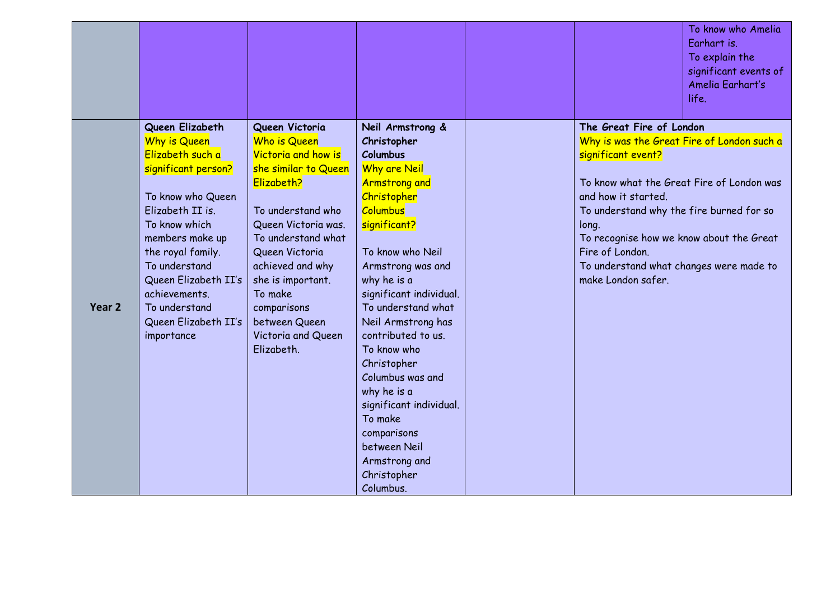|        |                                                                                                                                                                                                                                                                                                      |                                                                                                                                                                                                                                                                                                         |                                                                                                                                                                                                                                                                                                                                                                                                                                                                                             |                                                                                                                                                                                                                                                                                                                                                       | To know who Amelia<br>Earhart is.<br>To explain the<br>significant events of<br>Amelia Earhart's<br>life. |
|--------|------------------------------------------------------------------------------------------------------------------------------------------------------------------------------------------------------------------------------------------------------------------------------------------------------|---------------------------------------------------------------------------------------------------------------------------------------------------------------------------------------------------------------------------------------------------------------------------------------------------------|---------------------------------------------------------------------------------------------------------------------------------------------------------------------------------------------------------------------------------------------------------------------------------------------------------------------------------------------------------------------------------------------------------------------------------------------------------------------------------------------|-------------------------------------------------------------------------------------------------------------------------------------------------------------------------------------------------------------------------------------------------------------------------------------------------------------------------------------------------------|-----------------------------------------------------------------------------------------------------------|
| Year 2 | Queen Elizabeth<br><b>Why is Queen</b><br>Elizabeth such a<br>significant person?<br>To know who Queen<br>Elizabeth II is.<br>To know which<br>members make up<br>the royal family.<br>To understand<br>Queen Elizabeth II's<br>achievements.<br>To understand<br>Queen Elizabeth II's<br>importance | Queen Victoria<br>Who is Queen<br>Victoria and how is<br>she similar to Queen<br>Elizabeth?<br>To understand who<br>Queen Victoria was.<br>To understand what<br>Queen Victoria<br>achieved and why<br>she is important.<br>To make<br>comparisons<br>between Queen<br>Victoria and Queen<br>Elizabeth. | Neil Armstrong &<br>Christopher<br><b>Columbus</b><br><b>Why are Neil</b><br><b>Armstrong and</b><br>Christopher<br><b>Columbus</b><br>significant?<br>To know who Neil<br>Armstrong was and<br>why he is a<br>significant individual.<br>To understand what<br>Neil Armstrong has<br>contributed to us.<br>To know who<br>Christopher<br>Columbus was and<br>why he is a<br>significant individual.<br>To make<br>comparisons<br>between Neil<br>Armstrong and<br>Christopher<br>Columbus. | The Great Fire of London<br>Why is was the Great Fire of London such a<br>significant event?<br>To know what the Great Fire of London was<br>and how it started.<br>To understand why the fire burned for so<br>long.<br>To recognise how we know about the Great<br>Fire of London.<br>To understand what changes were made to<br>make London safer. |                                                                                                           |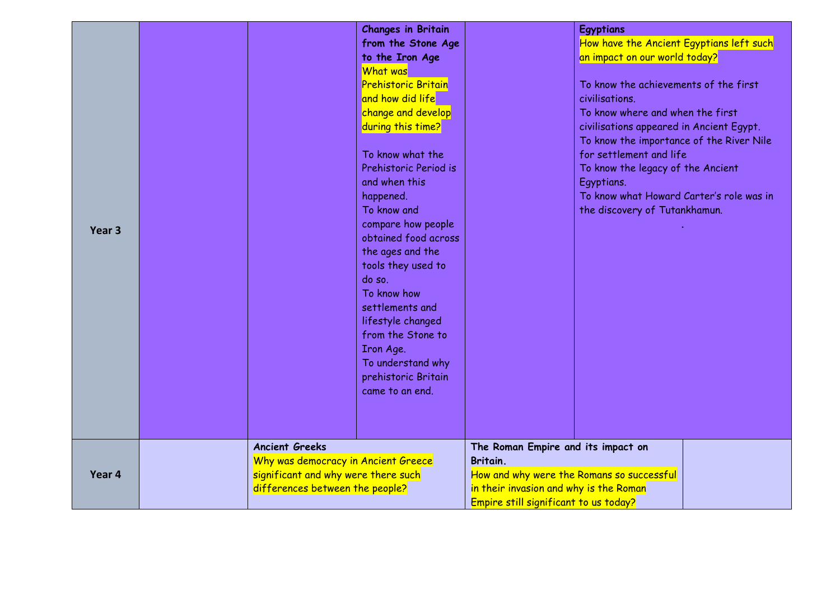|                   |  |                                                                                                               | <b>Changes in Britain</b>  |                                                       | <b>Egyptians</b>                         |  |
|-------------------|--|---------------------------------------------------------------------------------------------------------------|----------------------------|-------------------------------------------------------|------------------------------------------|--|
|                   |  |                                                                                                               | from the Stone Age         |                                                       | How have the Ancient Egyptians left such |  |
|                   |  |                                                                                                               | to the Iron Age            |                                                       | an impact on our world today?            |  |
|                   |  |                                                                                                               | What was                   |                                                       |                                          |  |
|                   |  |                                                                                                               | <b>Prehistoric Britain</b> |                                                       | To know the achievements of the first    |  |
|                   |  |                                                                                                               | and how did life           |                                                       | civilisations.                           |  |
|                   |  |                                                                                                               | change and develop         |                                                       | To know where and when the first         |  |
|                   |  |                                                                                                               | during this time?          |                                                       | civilisations appeared in Ancient Egypt. |  |
|                   |  |                                                                                                               |                            |                                                       | To know the importance of the River Nile |  |
|                   |  |                                                                                                               | To know what the           |                                                       | for settlement and life                  |  |
|                   |  |                                                                                                               | Prehistoric Period is      |                                                       | To know the legacy of the Ancient        |  |
|                   |  |                                                                                                               | and when this              |                                                       | Egyptians.                               |  |
|                   |  |                                                                                                               | happened.                  |                                                       | To know what Howard Carter's role was in |  |
|                   |  |                                                                                                               | To know and                |                                                       | the discovery of Tutankhamun.            |  |
|                   |  |                                                                                                               | compare how people         |                                                       |                                          |  |
| Year <sub>3</sub> |  |                                                                                                               | obtained food across       |                                                       |                                          |  |
|                   |  |                                                                                                               | the ages and the           |                                                       |                                          |  |
|                   |  |                                                                                                               | tools they used to         |                                                       |                                          |  |
|                   |  |                                                                                                               | do so.                     |                                                       |                                          |  |
|                   |  |                                                                                                               | To know how                |                                                       |                                          |  |
|                   |  |                                                                                                               | settlements and            |                                                       |                                          |  |
|                   |  |                                                                                                               | lifestyle changed          |                                                       |                                          |  |
|                   |  |                                                                                                               | from the Stone to          |                                                       |                                          |  |
|                   |  |                                                                                                               | Iron Age.                  |                                                       |                                          |  |
|                   |  |                                                                                                               | To understand why          |                                                       |                                          |  |
|                   |  |                                                                                                               | prehistoric Britain        |                                                       |                                          |  |
|                   |  |                                                                                                               | came to an end.            |                                                       |                                          |  |
|                   |  |                                                                                                               |                            |                                                       |                                          |  |
|                   |  |                                                                                                               |                            |                                                       |                                          |  |
|                   |  |                                                                                                               |                            |                                                       |                                          |  |
|                   |  | <b>Ancient Greeks</b>                                                                                         |                            | The Roman Empire and its impact on                    |                                          |  |
|                   |  | Why was democracy in Ancient Greece<br>significant and why were there such<br>differences between the people? |                            | Britain.<br>How and why were the Romans so successful |                                          |  |
| Year 4            |  |                                                                                                               |                            |                                                       |                                          |  |
|                   |  |                                                                                                               |                            | in their invasion and why is the Roman                |                                          |  |
|                   |  |                                                                                                               |                            | Empire still significant to us today?                 |                                          |  |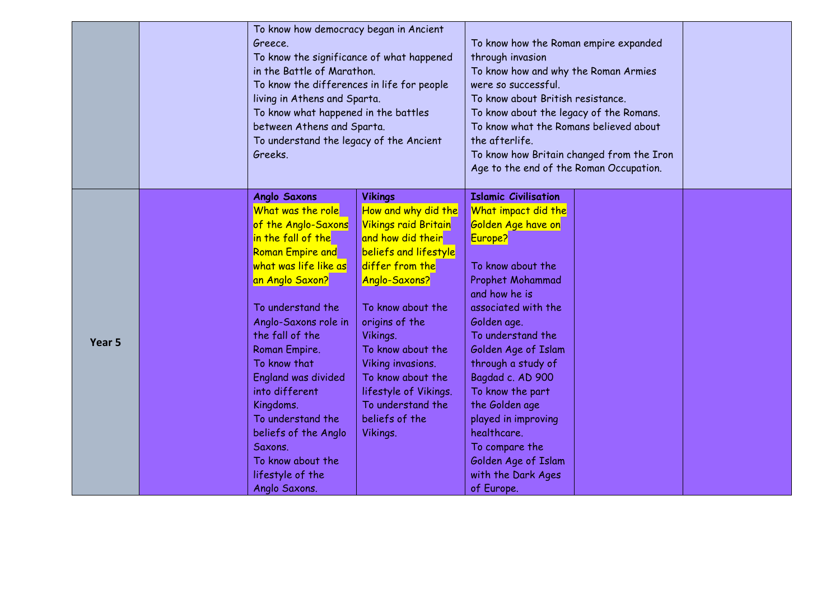|        | To know how democracy began in Ancient<br>Greece.<br>To know the significance of what happened<br>in the Battle of Marathon.<br>To know the differences in life for people<br>living in Athens and Sparta.<br>To know what happened in the battles<br>between Athens and Sparta.<br>To understand the legacy of the Ancient<br>Greeks.                                                                                                       |                                                                                                                                                                                                                                                                                                                                                      | To know how the Roman empire expanded<br>through invasion<br>To know how and why the Roman Armies<br>were so successful.<br>To know about British resistance.<br>To know about the legacy of the Romans.<br>To know what the Romans believed about<br>the afterlife.<br>To know how Britain changed from the Iron<br>Age to the end of the Roman Occupation.                                                                       |  |  |
|--------|----------------------------------------------------------------------------------------------------------------------------------------------------------------------------------------------------------------------------------------------------------------------------------------------------------------------------------------------------------------------------------------------------------------------------------------------|------------------------------------------------------------------------------------------------------------------------------------------------------------------------------------------------------------------------------------------------------------------------------------------------------------------------------------------------------|------------------------------------------------------------------------------------------------------------------------------------------------------------------------------------------------------------------------------------------------------------------------------------------------------------------------------------------------------------------------------------------------------------------------------------|--|--|
| Year 5 | <b>Anglo Saxons</b><br>What was the role<br>of the Anglo-Saxons<br>in the fall of the<br><b>Roman Empire and</b><br>what was life like as<br>an Anglo Saxon?<br>To understand the<br>Anglo-Saxons role in<br>the fall of the<br>Roman Empire.<br>To know that<br><b>England was divided</b><br>into different<br>Kingdoms.<br>To understand the<br>beliefs of the Anglo<br>Saxons.<br>To know about the<br>lifestyle of the<br>Anglo Saxons. | <b>Vikings</b><br>How and why did the<br><b>Vikings raid Britain</b><br>and how did their<br>beliefs and lifestyle<br>differ from the<br>Anglo-Saxons?<br>To know about the<br>origins of the<br>Vikings.<br>To know about the<br>Viking invasions.<br>To know about the<br>lifestyle of Vikings.<br>To understand the<br>beliefs of the<br>Vikings. | <b>Islamic Civilisation</b><br>What impact did the<br>Golden Age have on<br>Europe?<br>To know about the<br>Prophet Mohammad<br>and how he is<br>associated with the<br>Golden age.<br>To understand the<br>Golden Age of Islam<br>through a study of<br>Bagdad c. AD 900<br>To know the part<br>the Golden age<br>played in improving<br>healthcare.<br>To compare the<br>Golden Age of Islam<br>with the Dark Ages<br>of Europe. |  |  |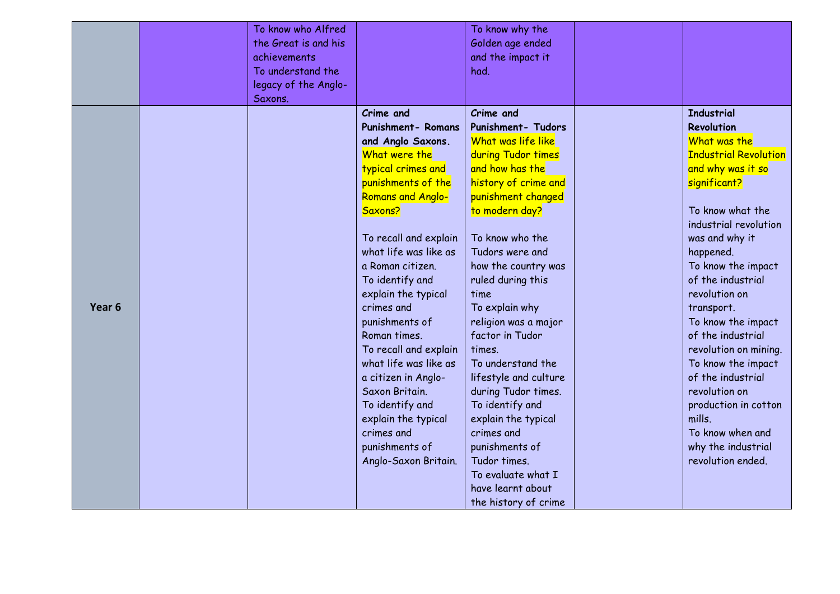|                   | To know who Alfred<br>the Great is and his<br>achievements<br>To understand the<br>legacy of the Anglo-<br>Saxons. |                           | To know why the<br>Golden age ended<br>and the impact it<br>had. |                              |
|-------------------|--------------------------------------------------------------------------------------------------------------------|---------------------------|------------------------------------------------------------------|------------------------------|
|                   |                                                                                                                    | Crime and                 | Crime and                                                        | <b>Industrial</b>            |
|                   |                                                                                                                    | <b>Punishment- Romans</b> | Punishment- Tudors                                               | Revolution                   |
|                   |                                                                                                                    | and Anglo Saxons.         | What was life like                                               | What was the                 |
|                   |                                                                                                                    | What were the             | during Tudor times                                               | <b>Industrial Revolution</b> |
|                   |                                                                                                                    | typical crimes and        | and how has the                                                  | and why was it so            |
|                   |                                                                                                                    | punishments of the        | history of crime and                                             | significant?                 |
|                   |                                                                                                                    | Romans and Anglo-         | punishment changed                                               |                              |
|                   |                                                                                                                    | Saxons?                   | to modern day?                                                   | To know what the             |
|                   |                                                                                                                    |                           |                                                                  | industrial revolution        |
|                   |                                                                                                                    | To recall and explain     | To know who the                                                  | was and why it               |
|                   |                                                                                                                    | what life was like as     | Tudors were and                                                  | happened.                    |
|                   |                                                                                                                    | a Roman citizen.          | how the country was                                              | To know the impact           |
|                   |                                                                                                                    | To identify and           | ruled during this                                                | of the industrial            |
|                   |                                                                                                                    | explain the typical       | time                                                             | revolution on                |
| Year <sub>6</sub> |                                                                                                                    | crimes and                | To explain why                                                   | transport.                   |
|                   |                                                                                                                    | punishments of            | religion was a major                                             | To know the impact           |
|                   |                                                                                                                    | Roman times.              | factor in Tudor                                                  | of the industrial            |
|                   |                                                                                                                    | To recall and explain     | times.                                                           | revolution on mining.        |
|                   |                                                                                                                    | what life was like as     | To understand the                                                | To know the impact           |
|                   |                                                                                                                    | a citizen in Anglo-       | lifestyle and culture                                            | of the industrial            |
|                   |                                                                                                                    | Saxon Britain.            | during Tudor times.                                              | revolution on                |
|                   |                                                                                                                    | To identify and           | To identify and                                                  | production in cotton         |
|                   |                                                                                                                    | explain the typical       | explain the typical                                              | mills.                       |
|                   |                                                                                                                    | crimes and                | crimes and                                                       | To know when and             |
|                   |                                                                                                                    | punishments of            | punishments of                                                   | why the industrial           |
|                   |                                                                                                                    | Anglo-Saxon Britain.      | Tudor times.                                                     | revolution ended.            |
|                   |                                                                                                                    |                           | To evaluate what I                                               |                              |
|                   |                                                                                                                    |                           | have learnt about                                                |                              |
|                   |                                                                                                                    |                           | the history of crime                                             |                              |